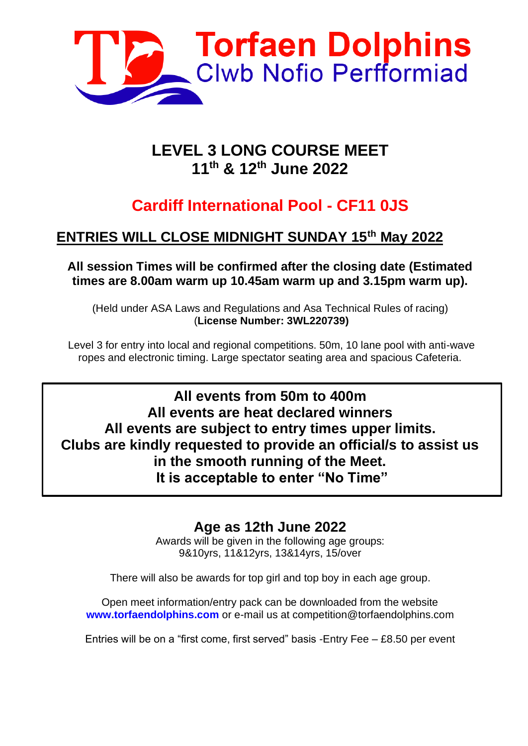

### **LEVEL 3 LONG COURSE MEET 11th & 12 th June 2022**

# **Cardiff International Pool - CF11 0JS**

### **ENTRIES WILL CLOSE MIDNIGHT SUNDAY 15th May 2022**

**All session Times will be confirmed after the closing date (Estimated times are 8.00am warm up 10.45am warm up and 3.15pm warm up).**

(Held under ASA Laws and Regulations and Asa Technical Rules of racing) (**License Number: 3WL220739)**

Level 3 for entry into local and regional competitions. 50m, 10 lane pool with anti-wave ropes and electronic timing. Large spectator seating area and spacious Cafeteria.

**All events from 50m to 400m All events are heat declared winners All events are subject to entry times upper limits. Clubs are kindly requested to provide an official/s to assist us in the smooth running of the Meet. It is acceptable to enter "No Time"**

### **Age as 12th June 2022**

Awards will be given in the following age groups: 9&10yrs, 11&12yrs, 13&14yrs, 15/over

There will also be awards for top girl and top boy in each age group.

Open meet information/entry pack can be downloaded from the website **www.torfaendolphins.com** or e-mail us at competition@torfaendolphins.com

Entries will be on a "first come, first served" basis -Entry Fee – £8.50 per event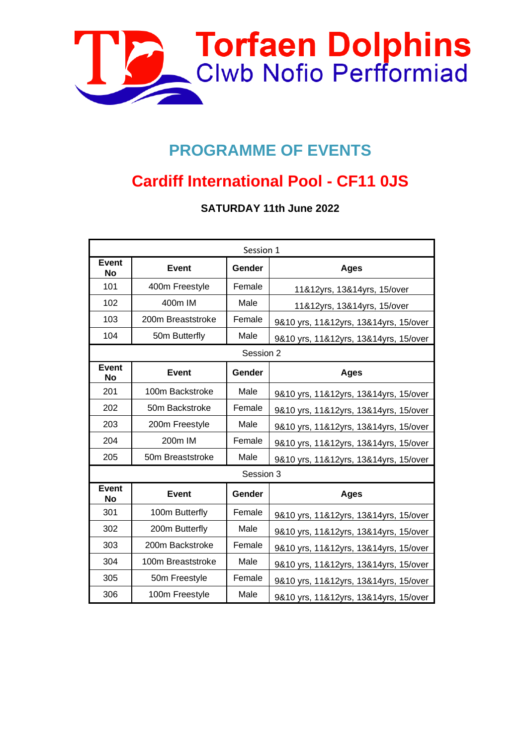

# **PROGRAMME OF EVENTS**

# **Cardiff International Pool - CF11 0JS**

**SATURDAY 11th June 2022**

| Session 1                 |                   |           |                                       |  |  |
|---------------------------|-------------------|-----------|---------------------------------------|--|--|
| Event<br><b>No</b>        | <b>Event</b>      | Gender    | <b>Ages</b>                           |  |  |
| 101                       | 400m Freestyle    | Female    | 11&12yrs, 13&14yrs, 15/over           |  |  |
| 102                       | 400m IM           | Male      | 11&12yrs, 13&14yrs, 15/over           |  |  |
| 103                       | 200m Breaststroke | Female    | 9&10 yrs, 11&12yrs, 13&14yrs, 15/over |  |  |
| 104                       | 50m Butterfly     | Male      | 9&10 yrs, 11&12yrs, 13&14yrs, 15/over |  |  |
|                           |                   | Session 2 |                                       |  |  |
| <b>Event</b><br><b>No</b> | <b>Event</b>      | Gender    | <b>Ages</b>                           |  |  |
| 201                       | 100m Backstroke   | Male      | 9&10 yrs, 11&12yrs, 13&14yrs, 15/over |  |  |
| 202                       | 50m Backstroke    | Female    | 9&10 yrs, 11&12yrs, 13&14yrs, 15/over |  |  |
| 203                       | 200m Freestyle    | Male      | 9&10 yrs, 11&12yrs, 13&14yrs, 15/over |  |  |
| 204                       | 200m IM           | Female    | 9&10 yrs, 11&12yrs, 13&14yrs, 15/over |  |  |
| 205                       | 50m Breaststroke  | Male      | 9&10 yrs, 11&12yrs, 13&14yrs, 15/over |  |  |
|                           |                   | Session 3 |                                       |  |  |
| <b>Event</b><br><b>No</b> | <b>Event</b>      | Gender    | <b>Ages</b>                           |  |  |
| 301                       | 100m Butterfly    | Female    | 9&10 yrs, 11&12yrs, 13&14yrs, 15/over |  |  |
| 302                       | 200m Butterfly    | Male      | 9&10 yrs, 11&12yrs, 13&14yrs, 15/over |  |  |
| 303                       | 200m Backstroke   | Female    | 9&10 yrs, 11&12yrs, 13&14yrs, 15/over |  |  |
| 304                       | 100m Breaststroke | Male      | 9&10 yrs, 11&12yrs, 13&14yrs, 15/over |  |  |
| 305                       | 50m Freestyle     | Female    | 9&10 yrs, 11&12yrs, 13&14yrs, 15/over |  |  |
| 306                       | 100m Freestyle    | Male      | 9&10 yrs, 11&12yrs, 13&14yrs, 15/over |  |  |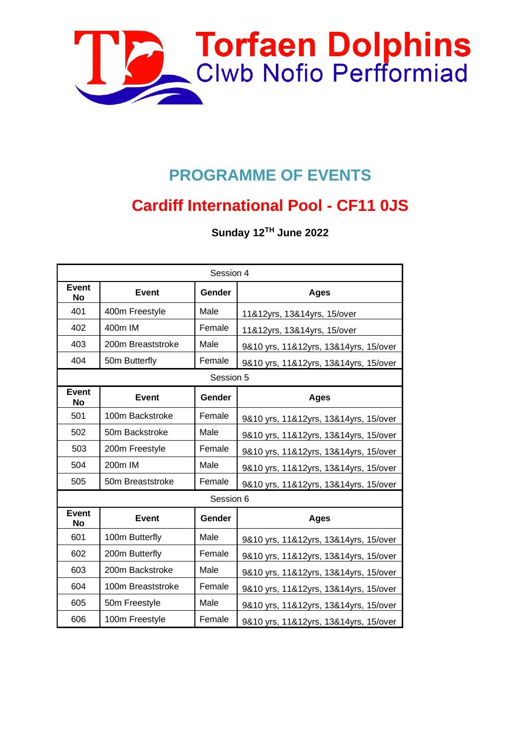

# **PROGRAMME OF EVENTS**

# **Cardiff International Pool - CF11 0JS**

**Sunday 12 TH June 2022**

| Session 4                 |                   |           |                                       |  |  |  |
|---------------------------|-------------------|-----------|---------------------------------------|--|--|--|
| <b>Event</b><br>No        | <b>Event</b>      | Gender    | <b>Ages</b>                           |  |  |  |
| 401                       | 400m Freestyle    | Male      | 11&12yrs, 13&14yrs, 15/over           |  |  |  |
| 402                       | 400m IM           | Female    | 11&12yrs, 13&14yrs, 15/over           |  |  |  |
| 403                       | 200m Breaststroke | Male      | 9&10 yrs, 11&12yrs, 13&14yrs, 15/over |  |  |  |
| 404                       | 50m Butterfly     | Female    | 9&10 yrs, 11&12yrs, 13&14yrs, 15/over |  |  |  |
|                           |                   | Session 5 |                                       |  |  |  |
| <b>Event</b><br><b>No</b> | <b>Event</b>      | Gender    | <b>Ages</b>                           |  |  |  |
| 501                       | 100m Backstroke   | Female    | 9&10 yrs, 11&12yrs, 13&14yrs, 15/over |  |  |  |
| 502                       | 50m Backstroke    | Male      | 9&10 yrs, 11&12yrs, 13&14yrs, 15/over |  |  |  |
| 503                       | 200m Freestyle    | Female    | 9&10 yrs, 11&12yrs, 13&14yrs, 15/over |  |  |  |
| 504                       | 200m IM           | Male      | 9&10 yrs, 11&12yrs, 13&14yrs, 15/over |  |  |  |
| 505                       | 50m Breaststroke  | Female    | 9&10 yrs, 11&12yrs, 13&14yrs, 15/over |  |  |  |
|                           |                   | Session 6 |                                       |  |  |  |
| <b>Event</b><br><b>No</b> | <b>Event</b>      | Gender    | <b>Ages</b>                           |  |  |  |
| 601                       | 100m Butterfly    | Male      | 9&10 yrs, 11&12yrs, 13&14yrs, 15/over |  |  |  |
| 602                       | 200m Butterfly    | Female    | 9&10 yrs, 11&12yrs, 13&14yrs, 15/over |  |  |  |
| 603                       | 200m Backstroke   | Male      | 9&10 yrs, 11&12yrs, 13&14yrs, 15/over |  |  |  |
| 604                       | 100m Breaststroke | Female    | 9&10 yrs, 11&12yrs, 13&14yrs, 15/over |  |  |  |
| 605                       | 50m Freestyle     | Male      | 9&10 yrs, 11&12yrs, 13&14yrs, 15/over |  |  |  |
| 606                       | 100m Freestyle    | Female    | 9&10 yrs, 11&12yrs, 13&14yrs, 15/over |  |  |  |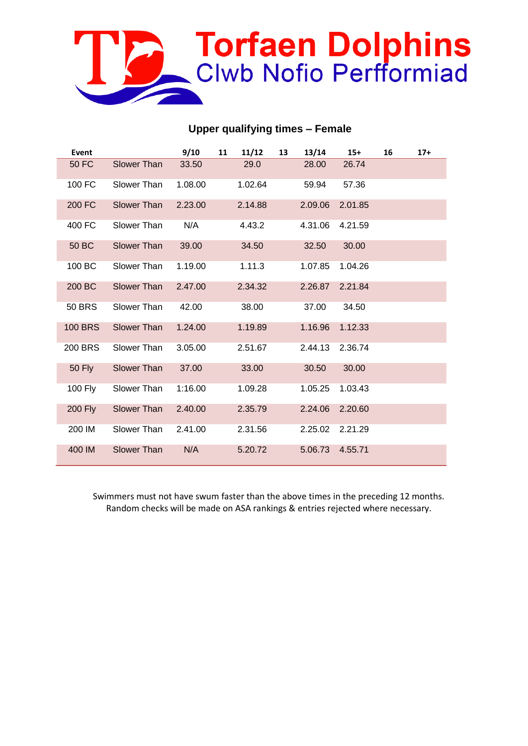

#### **Upper qualifying times – Female**

| Event          |                    | 9/10    | 11 | 11/12   | 13 | 13/14   | $15+$   | 16 | $17+$ |
|----------------|--------------------|---------|----|---------|----|---------|---------|----|-------|
| <b>50 FC</b>   | <b>Slower Than</b> | 33.50   |    | 29.0    |    | 28.00   | 26.74   |    |       |
| 100 FC         | Slower Than        | 1.08.00 |    | 1.02.64 |    | 59.94   | 57.36   |    |       |
| 200 FC         | Slower Than        | 2.23.00 |    | 2.14.88 |    | 2.09.06 | 2.01.85 |    |       |
| 400 FC         | Slower Than        | N/A     |    | 4.43.2  |    | 4.31.06 | 4.21.59 |    |       |
| 50 BC          | <b>Slower Than</b> | 39.00   |    | 34.50   |    | 32.50   | 30.00   |    |       |
| 100 BC         | Slower Than        | 1.19.00 |    | 1.11.3  |    | 1.07.85 | 1.04.26 |    |       |
| 200 BC         | <b>Slower Than</b> | 2.47.00 |    | 2.34.32 |    | 2.26.87 | 2.21.84 |    |       |
| <b>50 BRS</b>  | Slower Than        | 42.00   |    | 38.00   |    | 37.00   | 34.50   |    |       |
| <b>100 BRS</b> | Slower Than        | 1.24.00 |    | 1.19.89 |    | 1.16.96 | 1.12.33 |    |       |
| <b>200 BRS</b> | Slower Than        | 3.05.00 |    | 2.51.67 |    | 2.44.13 | 2.36.74 |    |       |
| 50 Fly         | <b>Slower Than</b> | 37.00   |    | 33.00   |    | 30.50   | 30.00   |    |       |
| <b>100 Fly</b> | Slower Than        | 1:16.00 |    | 1.09.28 |    | 1.05.25 | 1.03.43 |    |       |
| <b>200 Fly</b> | Slower Than        | 2.40.00 |    | 2.35.79 |    | 2.24.06 | 2.20.60 |    |       |
| 200 IM         | Slower Than        | 2.41.00 |    | 2.31.56 |    | 2.25.02 | 2.21.29 |    |       |
| 400 IM         | <b>Slower Than</b> | N/A     |    | 5.20.72 |    | 5.06.73 | 4.55.71 |    |       |

Swimmers must not have swum faster than the above times in the preceding 12 months. Random checks will be made on ASA rankings & entries rejected where necessary.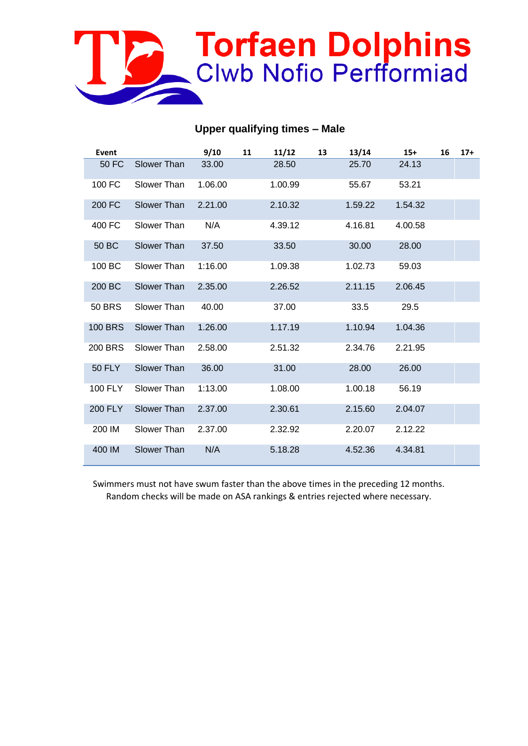

#### **Upper qualifying times – Male**

| Event          |             | 9/10    | 11 | 11/12   | 13 | 13/14   | $15+$   | 16 | $17+$ |
|----------------|-------------|---------|----|---------|----|---------|---------|----|-------|
| <b>50 FC</b>   | Slower Than | 33.00   |    | 28.50   |    | 25.70   | 24.13   |    |       |
| 100 FC         | Slower Than | 1.06.00 |    | 1.00.99 |    | 55.67   | 53.21   |    |       |
| 200 FC         | Slower Than | 2.21.00 |    | 2.10.32 |    | 1.59.22 | 1.54.32 |    |       |
| 400 FC         | Slower Than | N/A     |    | 4.39.12 |    | 4.16.81 | 4.00.58 |    |       |
| 50 BC          | Slower Than | 37.50   |    | 33.50   |    | 30.00   | 28.00   |    |       |
| 100 BC         | Slower Than | 1:16.00 |    | 1.09.38 |    | 1.02.73 | 59.03   |    |       |
| 200 BC         | Slower Than | 2.35.00 |    | 2.26.52 |    | 2.11.15 | 2.06.45 |    |       |
| <b>50 BRS</b>  | Slower Than | 40.00   |    | 37.00   |    | 33.5    | 29.5    |    |       |
| <b>100 BRS</b> | Slower Than | 1.26.00 |    | 1.17.19 |    | 1.10.94 | 1.04.36 |    |       |
| <b>200 BRS</b> | Slower Than | 2.58.00 |    | 2.51.32 |    | 2.34.76 | 2.21.95 |    |       |
| <b>50 FLY</b>  | Slower Than | 36.00   |    | 31.00   |    | 28.00   | 26.00   |    |       |
| 100 FLY        | Slower Than | 1:13.00 |    | 1.08.00 |    | 1.00.18 | 56.19   |    |       |
| 200 FLY        | Slower Than | 2.37.00 |    | 2.30.61 |    | 2.15.60 | 2.04.07 |    |       |
| 200 IM         | Slower Than | 2.37.00 |    | 2.32.92 |    | 2.20.07 | 2.12.22 |    |       |
| 400 IM         | Slower Than | N/A     |    | 5.18.28 |    | 4.52.36 | 4.34.81 |    |       |

Swimmers must not have swum faster than the above times in the preceding 12 months. Random checks will be made on ASA rankings & entries rejected where necessary.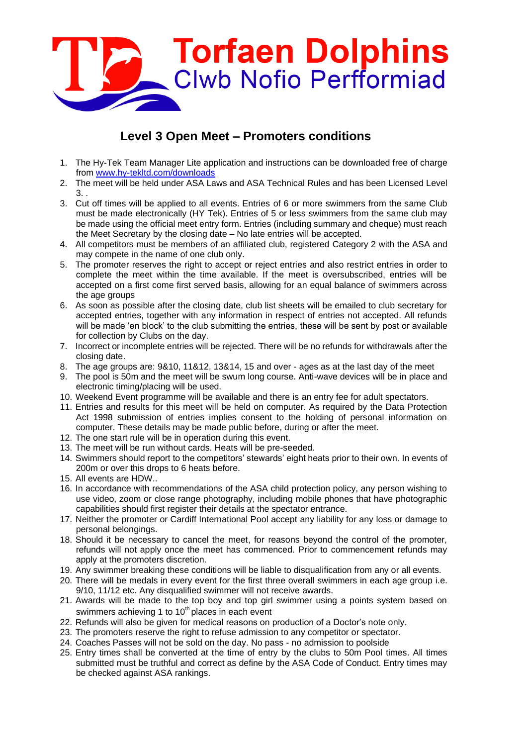

#### **Level 3 Open Meet – Promoters conditions**

- 1. The Hy-Tek Team Manager Lite application and instructions can be downloaded free of charge from [www.hy-tekltd.com/downloads](http://www.hy-tekltd.com/downloads)
- 2. The meet will be held under ASA Laws and ASA Technical Rules and has been Licensed Level 3. .
- 3. Cut off times will be applied to all events. Entries of 6 or more swimmers from the same Club must be made electronically (HY Tek). Entries of 5 or less swimmers from the same club may be made using the official meet entry form. Entries (including summary and cheque) must reach the Meet Secretary by the closing date – No late entries will be accepted.
- 4. All competitors must be members of an affiliated club, registered Category 2 with the ASA and may compete in the name of one club only.
- 5. The promoter reserves the right to accept or reject entries and also restrict entries in order to complete the meet within the time available. If the meet is oversubscribed, entries will be accepted on a first come first served basis, allowing for an equal balance of swimmers across the age groups
- 6. As soon as possible after the closing date, club list sheets will be emailed to club secretary for accepted entries, together with any information in respect of entries not accepted. All refunds will be made 'en block' to the club submitting the entries, these will be sent by post or available for collection by Clubs on the day.
- 7. Incorrect or incomplete entries will be rejected. There will be no refunds for withdrawals after the closing date.
- 8. The age groups are: 9&10, 11&12, 13&14, 15 and over ages as at the last day of the meet
- 9. The pool is 50m and the meet will be swum long course. Anti-wave devices will be in place and electronic timing/placing will be used.
- 10. Weekend Event programme will be available and there is an entry fee for adult spectators.
- 11. Entries and results for this meet will be held on computer. As required by the Data Protection Act 1998 submission of entries implies consent to the holding of personal information on computer. These details may be made public before, during or after the meet.
- 12. The one start rule will be in operation during this event.
- 13. The meet will be run without cards. Heats will be pre-seeded.
- 14. Swimmers should report to the competitors' stewards' eight heats prior to their own. In events of 200m or over this drops to 6 heats before.
- 15. All events are HDW..
- 16. In accordance with recommendations of the ASA child protection policy, any person wishing to use video, zoom or close range photography, including mobile phones that have photographic capabilities should first register their details at the spectator entrance.
- 17. Neither the promoter or Cardiff International Pool accept any liability for any loss or damage to personal belongings.
- 18. Should it be necessary to cancel the meet, for reasons beyond the control of the promoter, refunds will not apply once the meet has commenced. Prior to commencement refunds may apply at the promoters discretion.
- 19. Any swimmer breaking these conditions will be liable to disqualification from any or all events.
- 20. There will be medals in every event for the first three overall swimmers in each age group i.e. 9/10, 11/12 etc. Any disqualified swimmer will not receive awards.
- 21. Awards will be made to the top boy and top girl swimmer using a points system based on swimmers achieving 1 to 10<sup>th</sup> places in each event
- 22. Refunds will also be given for medical reasons on production of a Doctor's note only.
- 23. The promoters reserve the right to refuse admission to any competitor or spectator.
- 24. Coaches Passes will not be sold on the day. No pass no admission to poolside
- 25. Entry times shall be converted at the time of entry by the clubs to 50m Pool times. All times submitted must be truthful and correct as define by the ASA Code of Conduct. Entry times may be checked against ASA rankings.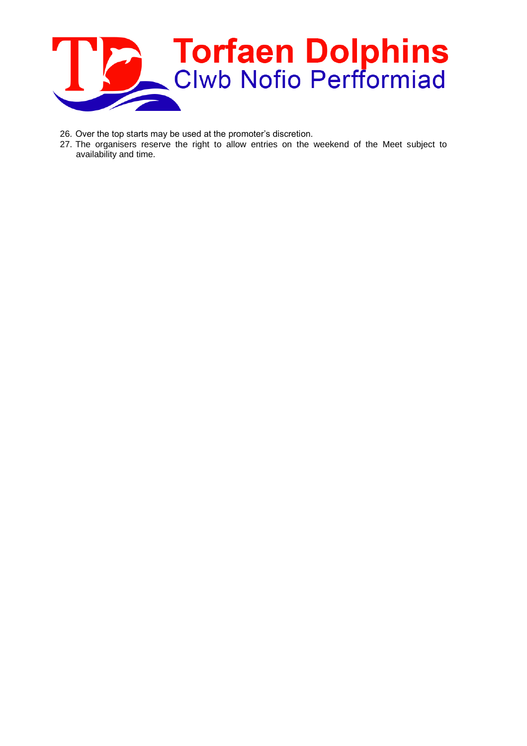

- 26. Over the top starts may be used at the promoter's discretion.
- 27. The organisers reserve the right to allow entries on the weekend of the Meet subject to availability and time.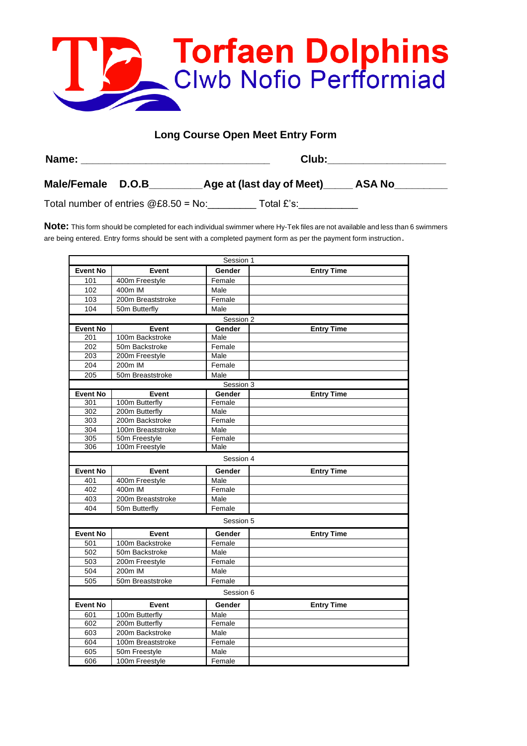

#### **Long Course Open Meet Entry Form**

| Name:             | Club:                                             |  |  |  |  |  |
|-------------------|---------------------------------------------------|--|--|--|--|--|
| Male/Female D.O.B | <b>Age at (last day of Meet)</b><br><b>ASA No</b> |  |  |  |  |  |

Total number of entries  $@E8.50 = No:$  Total £'s:

**Note:** This form should be completed for each individual swimmer where Hy-Tek files are not available and less than 6 swimmers are being entered. Entry forms should be sent with a completed payment form as per the payment form instruction.

|                 |                   | Session 1 |                   |
|-----------------|-------------------|-----------|-------------------|
| <b>Event No</b> | Event             | Gender    | <b>Entry Time</b> |
| 101             | 400m Freestyle    | Female    |                   |
| 102             | 400m IM           | Male      |                   |
| 103             | 200m Breaststroke | Female    |                   |
| 104             | 50m Butterfly     | Male      |                   |
|                 |                   | Session 2 |                   |
| <b>Event No</b> | Event             | Gender    | <b>Entry Time</b> |
| 201             | 100m Backstroke   | Male      |                   |
| 202             | 50m Backstroke    | Female    |                   |
| 203             | 200m Freestyle    | Male      |                   |
| 204             | 200m IM           | Female    |                   |
| 205             | 50m Breaststroke  | Male      |                   |
|                 |                   | Session 3 |                   |
| <b>Event No</b> | Event             | Gender    | <b>Entry Time</b> |
| 301             | 100m Butterfly    | Female    |                   |
| 302             | 200m Butterfly    | Male      |                   |
| 303             | 200m Backstroke   | Female    |                   |
| 304             | 100m Breaststroke | Male      |                   |
| 305             | 50m Freestyle     | Female    |                   |
| 306             | 100m Freestyle    | Male      |                   |
|                 |                   | Session 4 |                   |
| <b>Event No</b> | Event             | Gender    | <b>Entry Time</b> |
| 401             | 400m Freestyle    | Male      |                   |
| 402             | 400m IM           | Female    |                   |
| 403             | 200m Breaststroke | Male      |                   |
| 404             | 50m Butterfly     | Female    |                   |
|                 |                   | Session 5 |                   |
| <b>Event No</b> | Event             | Gender    | <b>Entry Time</b> |
| 501             | 100m Backstroke   | Female    |                   |
| 502             | 50m Backstroke    | Male      |                   |
| 503             | 200m Freestyle    | Female    |                   |
| 504             | 200m IM           | Male      |                   |
| 505             | 50m Breaststroke  | Female    |                   |
|                 |                   | Session 6 |                   |
| <b>Event No</b> | Event             | Gender    | <b>Entry Time</b> |
| 601             | 100m Butterfly    | Male      |                   |
| 602             | 200m Butterfly    | Female    |                   |
| 603             | 200m Backstroke   | Male      |                   |
| 604             | 100m Breaststroke | Female    |                   |
| 605             | 50m Freestyle     | Male      |                   |
| 606             | 100m Freestyle    | Female    |                   |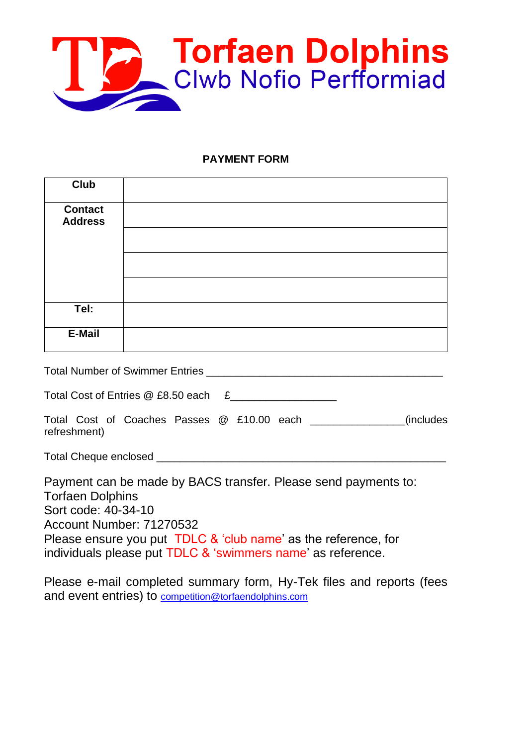

#### **PAYMENT FORM**

| <b>Club</b>                                    |                                                                                                                                                                                                                             |  |
|------------------------------------------------|-----------------------------------------------------------------------------------------------------------------------------------------------------------------------------------------------------------------------------|--|
| <b>Contact</b><br><b>Address</b>               |                                                                                                                                                                                                                             |  |
|                                                |                                                                                                                                                                                                                             |  |
|                                                |                                                                                                                                                                                                                             |  |
|                                                |                                                                                                                                                                                                                             |  |
| Tel:                                           |                                                                                                                                                                                                                             |  |
| <b>E-Mail</b>                                  |                                                                                                                                                                                                                             |  |
|                                                |                                                                                                                                                                                                                             |  |
|                                                | Total Cost of Entries @ £8.50 each £___________________                                                                                                                                                                     |  |
| refreshment)                                   | Total Cost of Coaches Passes @ £10.00 each _______________(includes                                                                                                                                                         |  |
|                                                |                                                                                                                                                                                                                             |  |
| <b>Torfaen Dolphins</b><br>Sort code: 40-34-10 | Payment can be made by BACS transfer. Please send payments to:<br>Account Number: 71270532<br>Please ensure you put TDLC & 'club name' as the reference, for<br>individuals please put TDLC & 'swimmers name' as reference. |  |

Please e-mail completed summary form, Hy-Tek files and reports (fees and event entries) to [competition@torfaendolphins.com](mailto:competition@torfaendolphins.com)